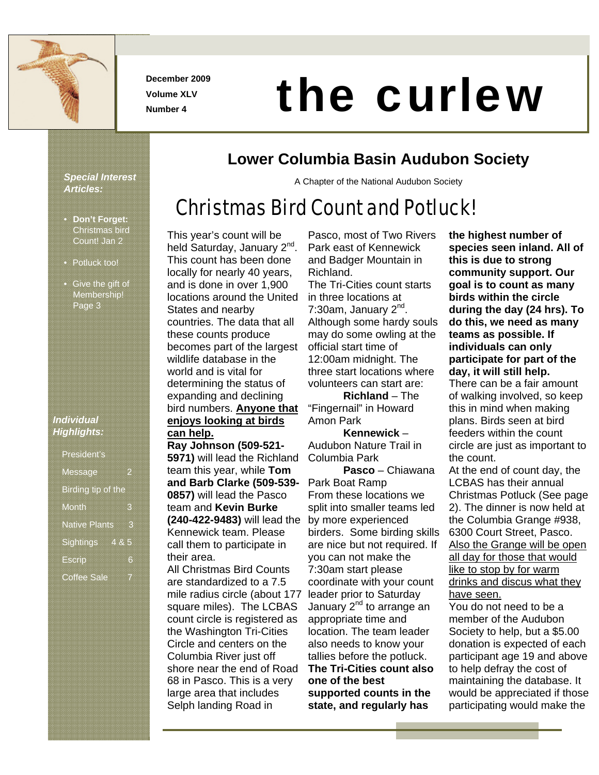

**December 2009 Volume XLV** 

# **December 2009**<br>Volume XLV<br>Number 4

### **Lower Columbia Basin Audubon Society**

A Chapter of the National Audubon Society

## Christmas Bird Count and Potluck!

*Special Interest Articles:* 

- **Don't Forget:** Christmas bird Count! Jan 2
- Potluck too!
- Give the gift of Membership! Page 3

#### *Individual Highlights:*

| <b>President's</b>   |   |
|----------------------|---|
|                      |   |
|                      |   |
|                      |   |
|                      |   |
|                      |   |
| Message              |   |
|                      |   |
|                      |   |
|                      |   |
|                      |   |
| Birding tip of the   |   |
|                      |   |
|                      |   |
|                      |   |
|                      |   |
|                      |   |
| Month                | e |
|                      |   |
|                      |   |
|                      |   |
|                      |   |
| <b>Native Plants</b> |   |
|                      | З |
|                      |   |
|                      |   |
|                      |   |
|                      |   |
| Sightings 4 & 5      |   |
|                      |   |
|                      |   |
|                      |   |
|                      |   |
|                      |   |
| <b>Escrip</b>        | 6 |
|                      |   |
|                      |   |
|                      |   |
|                      |   |
|                      |   |
|                      |   |
| <b>Coffee Sale</b>   |   |

This year's count will be held Saturday, January 2<sup>nd</sup> This count has been done locally for nearly 40 years, and is done in over 1,900 locations around the United States and nearby countries. The data that all these counts produce becomes part of the largest wildlife database in the world and is vital for determining the status of expanding and declining bird numbers. **Anyone that enjoys looking at birds can help. Ray Johnson (509-521- 5971)** will lead the Richland team this year, while **Tom and Barb Clarke (509-539- 0857)** will lead the Pasco team and **Kevin Burke (240-422-9483)** will lead the Kennewick team. Please call them to participate in their area. All Christmas Bird Counts are standardized to a 7.5 mile radius circle (about 177 square miles). The LCBAS count circle is registered as the Washington Tri-Cities

Circle and centers on the Columbia River just off shore near the end of Road 68 in Pasco. This is a very large area that includes Selph landing Road in

Pasco, most of Two Rivers Park east of Kennewick and Badger Mountain in Richland.

The Tri-Cities count starts in three locations at 7:30am, January  $2<sup>nd</sup>$ . Although some hardy souls may do some owling at the official start time of 12:00am midnight. The three start locations where volunteers can start are:

**Richland** – The "Fingernail" in Howard Amon Park

**Kennewick** – Audubon Nature Trail in Columbia Park

**Pasco** – Chiawana Park Boat Ramp From these locations we split into smaller teams led by more experienced birders. Some birding skills are nice but not required. If you can not make the 7:30am start please coordinate with your count leader prior to Saturday January 2<sup>nd</sup> to arrange an appropriate time and location. The team leader also needs to know your tallies before the potluck. **The Tri-Cities count also one of the best supported counts in the state, and regularly has** 

**the highest number of species seen inland. All of this is due to strong community support. Our goal is to count as many birds within the circle during the day (24 hrs). To do this, we need as many teams as possible. If individuals can only participate for part of the day, it will still help.** 

There can be a fair amount of walking involved, so keep this in mind when making plans. Birds seen at bird feeders within the count circle are just as important to the count.

At the end of count day, the LCBAS has their annual Christmas Potluck (See page 2). The dinner is now held at the Columbia Grange #938, 6300 Court Street, Pasco. Also the Grange will be open all day for those that would like to stop by for warm drinks and discus what they have seen.

You do not need to be a member of the Audubon Society to help, but a \$5.00 donation is expected of each participant age 19 and above to help defray the cost of maintaining the database. It would be appreciated if those participating would make the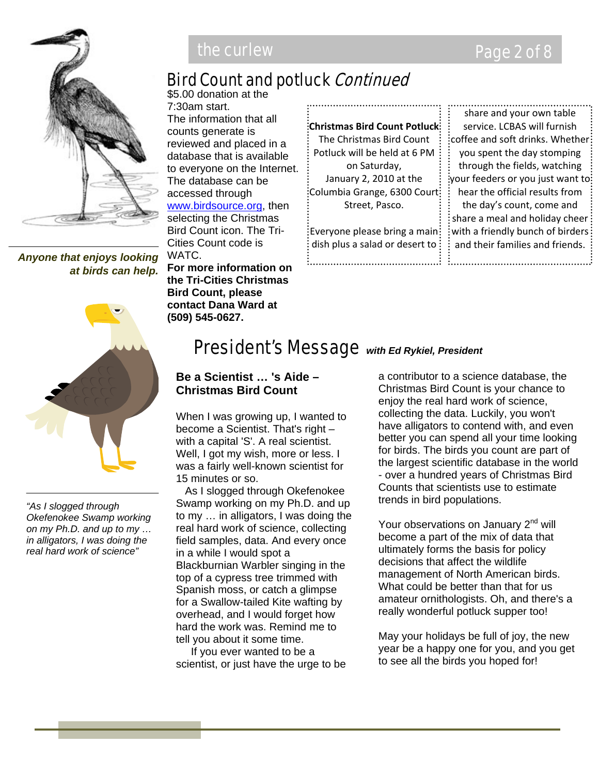

*Anyone that enjoys looking at birds can help.*



*"As I slogged through Okefenokee Swamp working on my Ph.D. and up to my … in alligators, I was doing the real hard work of science"*

### Bird Count and potluck Continued

\$5.00 donation at the 7:30am start. The information that all counts generate is reviewed and placed in a database that is available to everyone on the Internet. The database can be accessed through www.birdsource.org, then selecting the Christmas Bird Count icon. The Tri-Cities Count code is WATC. **For more information on the Tri-Cities Christmas Bird Count, please contact Dana Ward at** 

**(509) 545-0627.** 

**Christmas Bird Count Potluck** The Christmas Bird Count Potluck will be held at 6 PM on Saturday, January 2, 2010 at the Columbia Grange, 6300 Court Street, Pasco.

Everyone please bring a main dish plus a salad or desert to:

the company of the company of the company of the company of the company of the company of the company of the company of the company of the company of the company of the company of the company of the company of the company

share and your own table service. LCBAS will furnish coffee and soft drinks. Whether you spent the day stomping through the fields, watching your feeders or you just want to hear the official results from the day's count, come and share a meal and holiday cheer with a friendly bunch of birders: and their families and friends. **Example 2008** In the contract of the contract of the contract of the contract of the contract of the contract of

### President's Message *with Ed Rykiel, President*

#### **Be a Scientist … 's Aide – Christmas Bird Count**

When I was growing up, I wanted to become a Scientist. That's right – with a capital 'S'. A real scientist. Well, I got my wish, more or less. I was a fairly well-known scientist for 15 minutes or so.

 As I slogged through Okefenokee Swamp working on my Ph.D. and up to my … in alligators, I was doing the real hard work of science, collecting field samples, data. And every once in a while I would spot a Blackburnian Warbler singing in the top of a cypress tree trimmed with Spanish moss, or catch a glimpse for a Swallow-tailed Kite wafting by overhead, and I would forget how hard the work was. Remind me to tell you about it some time.

 If you ever wanted to be a scientist, or just have the urge to be

a contributor to a science database, the Christmas Bird Count is your chance to enjoy the real hard work of science, collecting the data. Luckily, you won't have alligators to contend with, and even better you can spend all your time looking for birds. The birds you count are part of the largest scientific database in the world - over a hundred years of Christmas Bird Counts that scientists use to estimate trends in bird populations.

Your observations on January 2<sup>nd</sup> will become a part of the mix of data that ultimately forms the basis for policy decisions that affect the wildlife management of North American birds. What could be better than that for us amateur ornithologists. Oh, and there's a really wonderful potluck supper too!

May your holidays be full of joy, the new year be a happy one for you, and you get to see all the birds you hoped for!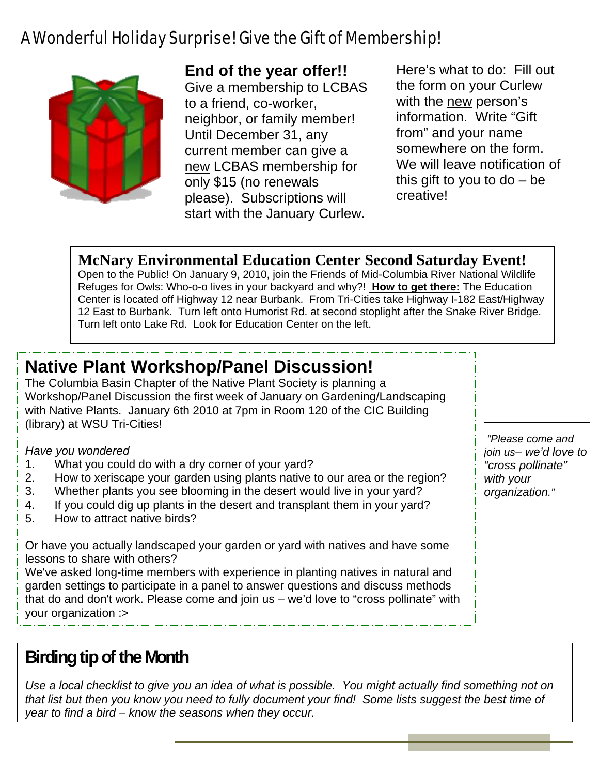### A Wonderful Holiday Surprise! Give the Gift of Membership!



#### **End of the year offer!!**

Give a membership to LCBAS to a friend, co-worker, neighbor, or family member! Until December 31, any current member can give a new LCBAS membership for only \$15 (no renewals please). Subscriptions will start with the January Curlew.

Here's what to do: Fill out the form on your Curlew with the new person's information. Write "Gift from" and your name somewhere on the form. We will leave notification of this gift to you to  $do - be$ creative!

#### **McNary Environmental Education Center Second Saturday Event!**

Open to the Public! On January 9, 2010, join the Friends of Mid-Columbia River National Wildlife Refuges for Owls: Who-o-o lives in your backyard and why?! **How to get there:** The Education Center is located off Highway 12 near Burbank. From Tri-Cities take Highway I-182 East/Highway 12 East to Burbank. Turn left onto Humorist Rd. at second stoplight after the Snake River Bridge. Turn left onto Lake Rd. Look for Education Center on the left.

### **Native Plant Workshop/Panel Discussion!**

The Columbia Basin Chapter of the Native Plant Society is planning a Workshop/Panel Discussion the first week of January on Gardening/Landscaping with Native Plants. January 6th 2010 at 7pm in Room 120 of the CIC Building (library) at WSU Tri-Cities!

*Have you wondered* 

- 1. What you could do with a dry corner of your yard?
- 2. How to xeriscape your garden using plants native to our area or the region?
- 3. Whether plants you see blooming in the desert would live in your yard?
- 4. If you could dig up plants in the desert and transplant them in your yard?
- 5. How to attract native birds?

Or have you actually landscaped your garden or yard with natives and have some lessons to share with others?

We've asked long-time members with experience in planting natives in natural and garden settings to participate in a panel to answer questions and discuss methods that do and don't work. Please come and join us – we'd love to "cross pollinate" with your organization :>

### **Birding tip of the Month**

*Use a local checklist to give you an idea of what is possible. You might actually find something not on that list but then you know you need to fully document your find! Some lists suggest the best time of year to find a bird – know the seasons when they occur.*

*"Please come and join us*– *we'd love to "cross pollinate" with your organization."*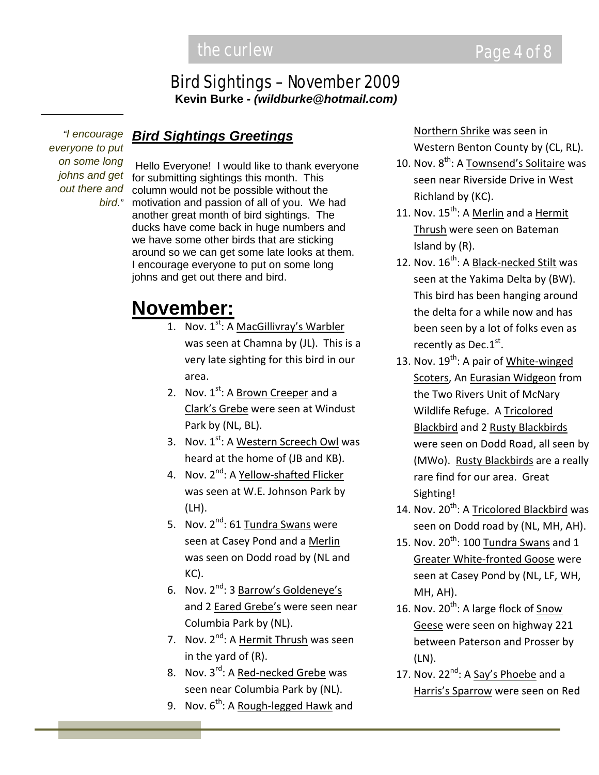#### Bird Sightings – November 2009 **Kevin Burke** *- (wildburke@hotmail.com)*

*"I encourage everyone to put on some long johns and get out there and bird."*

#### *Bird Sightings Greetings*

Hello Everyone! I would like to thank everyone for submitting sightings this month. This column would not be possible without the motivation and passion of all of you. We had another great month of bird sightings. The ducks have come back in huge numbers and we have some other birds that are sticking around so we can get some late looks at them. I encourage everyone to put on some long johns and get out there and bird.

### **November:**

- 1. Nov. 1<sup>st</sup>: A MacGillivray's Warbler was seen at Chamna by (JL). This is a very late sighting for this bird in our area.
- 2. Nov. 1<sup>st</sup>: A **Brown Creeper** and a Clark's Grebe were seen at Windust Park by (NL, BL).
- 3. Nov. 1<sup>st</sup>: A <u>Western Screech Owl</u> was heard at the home of (JB and KB).
- 4. Nov. 2<sup>nd</sup>: A <u>Yellow-shafted Flicker</u> was seen at W.E. Johnson Park by (LH).
- 5. Nov. 2<sup>nd</sup>: 61 <u>Tundra Swans</u> were seen at Casey Pond and a Merlin was seen on Dodd road by (NL and KC).
- 6. Nov. 2<sup>nd</sup>: 3 <u>Barrow's Goldeneye's</u> and 2 **Eared Grebe's** were seen near Columbia Park by (NL).
- 7. Nov. 2<sup>nd</sup>: A Hermit Thrush was seen in the yard of (R).
- 8. Nov. 3<sup>rd</sup>: A <u>Red-necked Grebe</u> was seen near Columbia Park by (NL).
- 9. Nov. 6<sup>th</sup>: A <u>Rough-legged Hawk</u> and

Northern Shrike was seen in Western Benton County by (CL, RL).

- 10. Nov. 8<sup>th</sup>: A <u>Townsend's Solitaire</u> was seen near Riverside Drive in West Richland by (KC).
- 11. Nov. 15<sup>th</sup>: A Merlin and a Hermit Thrush were seen on Bateman Island by (R).
- 12. Nov. 16<sup>th</sup>: A <u>Black-necked Stilt</u> was seen at the Yakima Delta by (BW). This bird has been hanging around the delta for a while now and has been seen by a lot of folks even as recently as Dec.1st.
- 13. Nov. 19<sup>th</sup>: A pair of White-winged Scoters, An Eurasian Widgeon from the Two Rivers Unit of McNary Wildlife Refuge. A Tricolored Blackbird and 2 Rusty Blackbirds were seen on Dodd Road, all seen by (MWo). Rusty Blackbirds are a really rare find for our area. Great Sighting!
- 14. Nov. 20<sup>th</sup>: A <u>Tricolored Blackbird</u> was seen on Dodd road by (NL, MH, AH).
- 15. Nov.  $20^{\text{th}}$ : 100 <u>Tundra Swans</u> and 1 Greater White‐fronted Goose were seen at Casey Pond by (NL, LF, WH, MH, AH).
- 16. Nov. 20<sup>th</sup>: A large flock of **Snow** Geese were seen on highway 221 between Paterson and Prosser by (LN).
- 17. Nov. 22<sup>nd</sup>: A <u>Say's Phoebe</u> and a Harris's Sparrow were seen on Red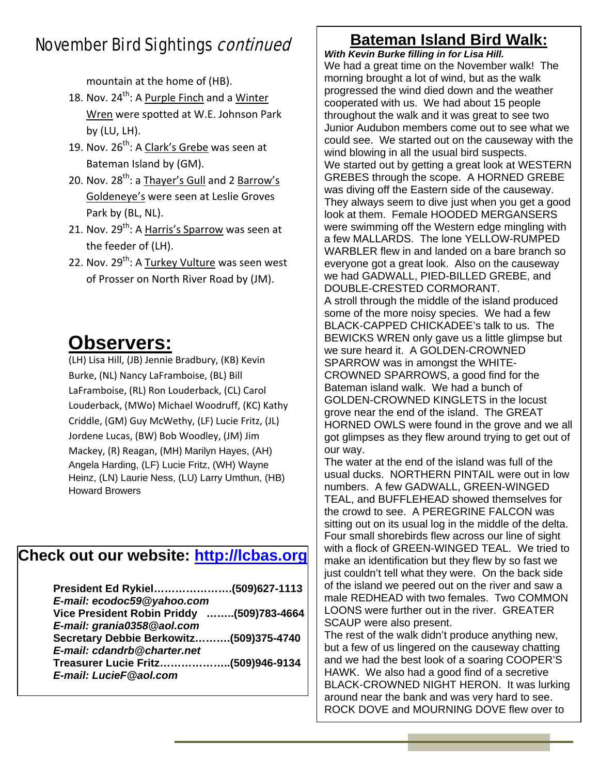### November Bird Sightings continued

mountain at the home of (HB).

18. Nov. 24<sup>th</sup>: A <u>Purple Finch</u> and a <u>Winter</u> Wren were spotted at W.E. Johnson Park by (LU, LH).

 $\overline{\phantom{a}}$ 

- 19. Nov. 26<sup>th</sup>: A <u>Clark's Grebe</u> was seen at Bateman Island by (GM).
- 20. Nov. 28<sup>th</sup>: a <u>Thayer's Gull</u> and 2 <u>Barrow's</u> Goldeneye's were seen at Leslie Groves Park by (BL, NL).
- 21. Nov. 29<sup>th</sup>: A <u>Harris's Sparrow</u> was seen at the feeder of (LH).
- 22. Nov. 29<sup>th</sup>: A <u>Turkey Vulture</u> was seen west of Prosser on North River Road by (JM).

### **Observers:**

(LH) Lisa Hill, (JB) Jennie Bradbury, (KB) Kevin Burke, (NL) Nancy LaFramboise, (BL) Bill LaFramboise, (RL) Ron Louderback, (CL) Carol Louderback, (MWo) Michael Woodruff, (KC) Kathy Criddle, (GM) Guy McWethy, (LF) Lucie Fritz, (JL) Jordene Lucas, (BW) Bob Woodley, (JM) Jim Mackey, (R) Reagan, (MH) Marilyn Hayes, (AH) Angela Harding, (LF) Lucie Fritz, (WH) Wayne Heinz, (LN) Laurie Ness, (LU) Larry Umthun, (HB) Howard Browers

### **Check out our website: http://lcbas.org**

| President Ed Rykiel(509)627-1113          |  |
|-------------------------------------------|--|
| E-mail: ecodoc59@yahoo.com                |  |
| Vice President Robin Priddy (509)783-4664 |  |
| E-mail: grania0358@aol.com                |  |
| Secretary Debbie Berkowitz(509)375-4740   |  |
| E-mail: cdandrb@charter.net               |  |
| Treasurer Lucie Fritz……………….(509)946-9134 |  |
| E-mail: LucieF@aol.com                    |  |
|                                           |  |

### **Bateman Island Bird Walk:**

*With Kevin Burke filling in for Lisa Hill.*  We had a great time on the November walk! The morning brought a lot of wind, but as the walk progressed the wind died down and the weather cooperated with us. We had about 15 people throughout the walk and it was great to see two Junior Audubon members come out to see what we could see. We started out on the causeway with the wind blowing in all the usual bird suspects. We started out by getting a great look at WESTERN GREBES through the scope. A HORNED GREBE was diving off the Eastern side of the causeway. They always seem to dive just when you get a good look at them. Female HOODED MERGANSERS were swimming off the Western edge mingling with a few MALLARDS. The lone YELLOW-RUMPED WARBLER flew in and landed on a bare branch so everyone got a great look. Also on the causeway we had GADWALL, PIED-BILLED GREBE, and DOUBLE-CRESTED CORMORANT. A stroll through the middle of the island produced some of the more noisy species. We had a few BLACK-CAPPED CHICKADEE's talk to us. The BEWICKS WREN only gave us a little glimpse but we sure heard it. A GOLDEN-CROWNED SPARROW was in amongst the WHITE-CROWNED SPARROWS, a good find for the Bateman island walk. We had a bunch of GOLDEN-CROWNED KINGLETS in the locust grove near the end of the island. The GREAT HORNED OWLS were found in the grove and we all got glimpses as they flew around trying to get out of our way.

The water at the end of the island was full of the usual ducks. NORTHERN PINTAIL were out in low numbers. A few GADWALL, GREEN-WINGED TEAL, and BUFFLEHEAD showed themselves for the crowd to see. A PEREGRINE FALCON was sitting out on its usual log in the middle of the delta. Four small shorebirds flew across our line of sight with a flock of GREEN-WINGED TEAL. We tried to make an identification but they flew by so fast we just couldn't tell what they were. On the back side of the island we peered out on the river and saw a male REDHEAD with two females. Two COMMON LOONS were further out in the river. GREATER SCAUP were also present.

The rest of the walk didn't produce anything new, but a few of us lingered on the causeway chatting and we had the best look of a soaring COOPER'S HAWK. We also had a good find of a secretive BLACK-CROWNED NIGHT HERON. It was lurking around near the bank and was very hard to see. ROCK DOVE and MOURNING DOVE flew over to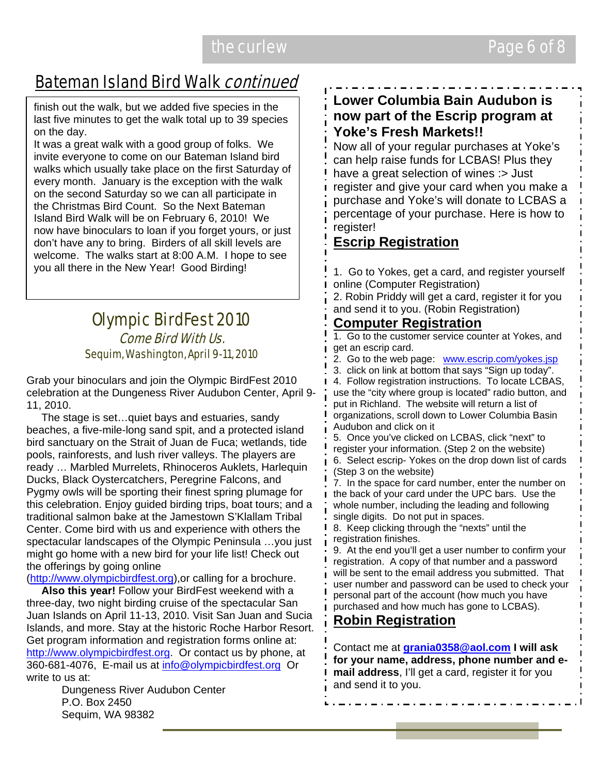### **Bateman Island Bird Walk continued**

finish out the walk, but we added five species in the last five minutes to get the walk total up to 39 species on the day.

It was a great walk with a good group of folks. We invite everyone to come on our Bateman Island bird walks which usually take place on the first Saturday of every month. January is the exception with the walk on the second Saturday so we can all participate in the Christmas Bird Count. So the Next Bateman Island Bird Walk will be on February 6, 2010! We now have binoculars to loan if you forget yours, or just don't have any to bring. Birders of all skill levels are welcome. The walks start at 8:00 A.M. I hope to see you all there in the New Year! Good Birding!

#### Olympic BirdFest 2010 Come Bird With Us. Sequim, Washington, April 9-11, 2010

Grab your binoculars and join the Olympic BirdFest 2010 celebration at the Dungeness River Audubon Center, April 9- 11, 2010.

 The stage is set…quiet bays and estuaries, sandy beaches, a five-mile-long sand spit, and a protected island bird sanctuary on the Strait of Juan de Fuca; wetlands, tide pools, rainforests, and lush river valleys. The players are ready … Marbled Murrelets, Rhinoceros Auklets, Harlequin Ducks, Black Oystercatchers, Peregrine Falcons, and Pygmy owls will be sporting their finest spring plumage for this celebration. Enjoy guided birding trips, boat tours; and a traditional salmon bake at the Jamestown S'Klallam Tribal Center. Come bird with us and experience with others the spectacular landscapes of the Olympic Peninsula …you just might go home with a new bird for your life list! Check out the offerings by going online

(http://www.olympicbirdfest.org),or calling for a brochure.

 **Also this year!** Follow your BirdFest weekend with a three-day, two night birding cruise of the spectacular San Juan Islands on April 11-13, 2010. Visit San Juan and Sucia Islands, and more. Stay at the historic Roche Harbor Resort. Get program information and registration forms online at: http://www.olympicbirdfest.org. Or contact us by phone, at 360-681-4076, E-mail us at info@olympicbirdfest.org Or write to us at:

Dungeness River Audubon Center P.O. Box 2450 Sequim, WA 98382

#### **Lower Columbia Bain Audubon is now part of the Escrip program at Yoke's Fresh Markets!!**

Now all of your regular purchases at Yoke's can help raise funds for LCBAS! Plus they have a great selection of wines : > Just register and give your card when you make a purchase and Yoke's will donate to LCBAS a percentage of your purchase. Here is how to register!

#### **Escrip Registration**

1. Go to Yokes, get a card, and register yourself online (Computer Registration)

2. Robin Priddy will get a card, register it for you and send it to you. (Robin Registration)

#### **Computer Registration**

1. Go to the customer service counter at Yokes, and get an escrip card.

2. Go to the web page: www.escrip.com/yokes.jsp

3. click on link at bottom that says "Sign up today".

4. Follow registration instructions. To locate LCBAS, use the "city where group is located" radio button, and put in Richland. The website will return a list of organizations, scroll down to Lower Columbia Basin Audubon and click on it

5. Once you've clicked on LCBAS, click "next" to register your information. (Step 2 on the website) 6. Select escrip- Yokes on the drop down list of cards (Step 3 on the website)

7. In the space for card number, enter the number on the back of your card under the UPC bars. Use the whole number, including the leading and following single digits. Do not put in spaces.

8. Keep clicking through the "nexts" until the registration finishes.

9. At the end you'll get a user number to confirm your registration. A copy of that number and a password will be sent to the email address you submitted. That user number and password can be used to check your personal part of the account (how much you have purchased and how much has gone to LCBAS).

#### **Robin Registration**

Contact me at **grania0358@aol.com I will ask for your name, address, phone number and email address**, I'll get a card, register it for you and send it to you.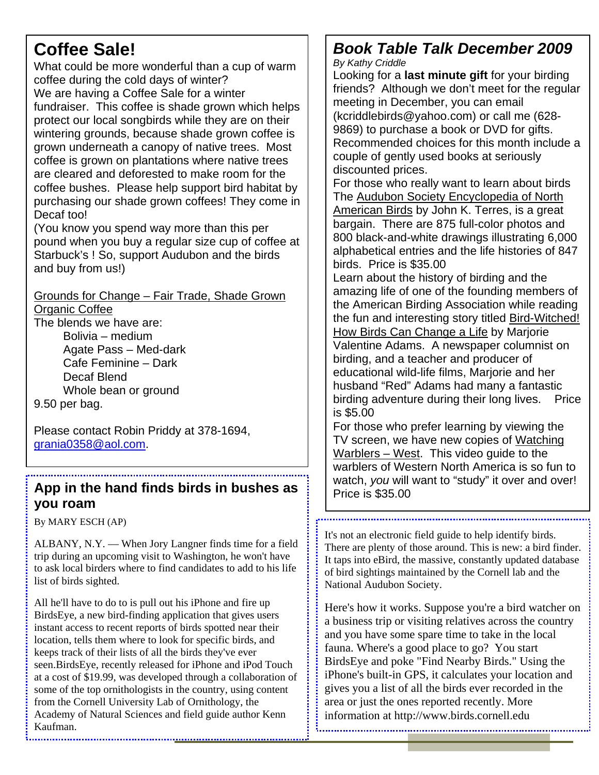### **Coffee Sale!**

What could be more wonderful than a cup of warm coffee during the cold days of winter? We are having a Coffee Sale for a winter fundraiser. This coffee is shade grown which helps protect our local songbirds while they are on their wintering grounds, because shade grown coffee is grown underneath a canopy of native trees. Most coffee is grown on plantations where native trees are cleared and deforested to make room for the coffee bushes. Please help support bird habitat by purchasing our shade grown coffees! They come in Decaf too!

(You know you spend way more than this per pound when you buy a regular size cup of coffee at Starbuck's ! So, support Audubon and the birds and buy from us!)

Grounds for Change – Fair Trade, Shade Grown **Organic Coffee** 

The blends we have are: Bolivia – medium Agate Pass – Med-dark

Cafe Feminine – Dark Decaf Blend Whole bean or ground

9.50 per bag.

Please contact Robin Priddy at 378-1694, grania0358@aol.com.

#### App in the hand finds birds in bushes as **you roam**

By MARY ESCH (AP)

ALBANY, N.Y. — When Jory Langner finds time for a field trip during an upcoming visit to Washington, he won't have to ask local birders where to find candidates to add to his life list of birds sighted.

All he'll have to do to is pull out his iPhone and fire up BirdsEye, a new bird-finding application that gives users instant access to recent reports of birds spotted near their location, tells them where to look for specific birds, and keeps track of their lists of all the birds they've ever seen.BirdsEye, recently released for iPhone and iPod Touch at a cost of \$19.99, was developed through a collaboration of some of the top ornithologists in the country, using content from the Cornell University Lab of Ornithology, the Academy of Natural Sciences and field guide author Kenn Kaufman.

### *Book Table Talk December 2009*

*By Kathy Criddle* 

Looking for a **last minute gift** for your birding friends? Although we don't meet for the regular meeting in December, you can email (kcriddlebirds@yahoo.com) or call me (628- 9869) to purchase a book or DVD for gifts. Recommended choices for this month include a couple of gently used books at seriously discounted prices.

For those who really want to learn about birds The Audubon Society Encyclopedia of North American Birds by John K. Terres, is a great bargain. There are 875 full-color photos and 800 black-and-white drawings illustrating 6,000 alphabetical entries and the life histories of 847 birds. Price is \$35.00

Learn about the history of birding and the amazing life of one of the founding members of the American Birding Association while reading the fun and interesting story titled Bird-Witched! How Birds Can Change a Life by Marjorie

Valentine Adams. A newspaper columnist on birding, and a teacher and producer of educational wild-life films, Marjorie and her husband "Red" Adams had many a fantastic birding adventure during their long lives. Price is \$5.00

For those who prefer learning by viewing the TV screen, we have new copies of Watching Warblers – West. This video guide to the warblers of Western North America is so fun to watch, *you* will want to "study" it over and over!<br>Price is \$35.00

It's not an electronic field guide to help identify birds. There are plenty of those around. This is new: a bird finder. It taps into eBird, the massive, constantly updated database of bird sightings maintained by the Cornell lab and the National Audubon Society.

Here's how it works. Suppose you're a bird watcher on a business trip or visiting relatives across the country and you have some spare time to take in the local fauna. Where's a good place to go? You start BirdsEye and poke "Find Nearby Birds." Using the iPhone's built-in GPS, it calculates your location and gives you a list of all the birds ever recorded in the area or just the ones reported recently. More information at http://www.birds.cornell.edu